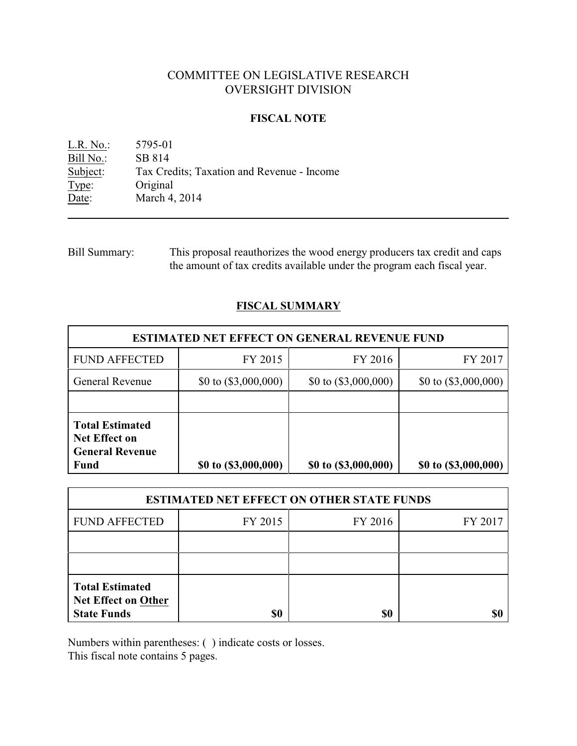# COMMITTEE ON LEGISLATIVE RESEARCH OVERSIGHT DIVISION

### **FISCAL NOTE**

L.R. No.: 5795-01 Bill No.: SB 814<br>Subject: Tax Cre Tax Credits; Taxation and Revenue - Income Type: Original Date: March 4, 2014

Bill Summary: This proposal reauthorizes the wood energy producers tax credit and caps the amount of tax credits available under the program each fiscal year.

### **FISCAL SUMMARY**

| <b>ESTIMATED NET EFFECT ON GENERAL REVENUE FUND</b>                                     |                        |                        |                        |  |
|-----------------------------------------------------------------------------------------|------------------------|------------------------|------------------------|--|
| <b>FUND AFFECTED</b>                                                                    | FY 2015                | FY 2016                | FY 2017                |  |
| <b>General Revenue</b>                                                                  | \$0 to $(\$3,000,000)$ | \$0 to $(\$3,000,000)$ | \$0 to $(\$3,000,000)$ |  |
|                                                                                         |                        |                        |                        |  |
| <b>Total Estimated</b><br><b>Net Effect on</b><br><b>General Revenue</b><br><b>Fund</b> | \$0 to (\$3,000,000)   | \$0 to (\$3,000,000)   | \$0 to (\$3,000,000)   |  |

| <b>ESTIMATED NET EFFECT ON OTHER STATE FUNDS</b>                           |         |         |         |  |
|----------------------------------------------------------------------------|---------|---------|---------|--|
| <b>FUND AFFECTED</b>                                                       | FY 2015 | FY 2016 | FY 2017 |  |
|                                                                            |         |         |         |  |
|                                                                            |         |         |         |  |
| <b>Total Estimated</b><br><b>Net Effect on Other</b><br><b>State Funds</b> | \$0     | \$0     |         |  |

Numbers within parentheses: ( ) indicate costs or losses.

This fiscal note contains 5 pages.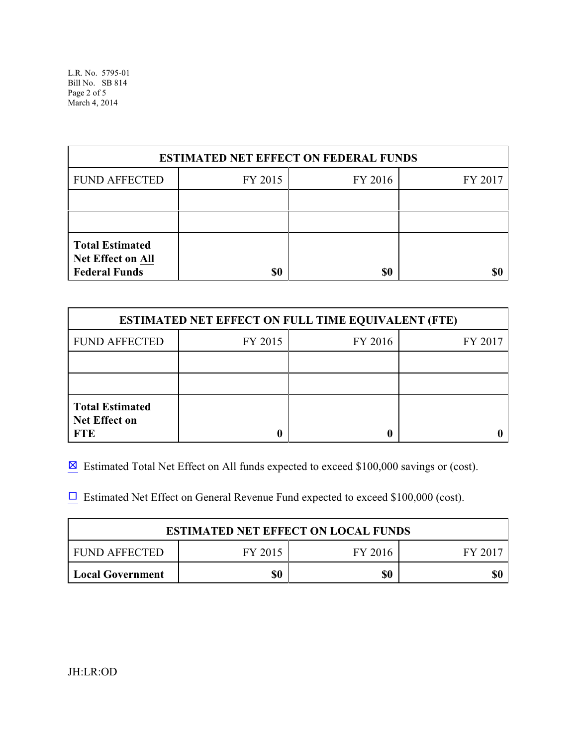L.R. No. 5795-01 Bill No. SB 814 Page 2 of 5 March 4, 2014

| <b>ESTIMATED NET EFFECT ON FEDERAL FUNDS</b>                               |         |         |         |  |
|----------------------------------------------------------------------------|---------|---------|---------|--|
| <b>FUND AFFECTED</b>                                                       | FY 2015 | FY 2016 | FY 2017 |  |
|                                                                            |         |         |         |  |
|                                                                            |         |         |         |  |
| <b>Total Estimated</b><br><b>Net Effect on All</b><br><b>Federal Funds</b> | \$0     | \$0     |         |  |

| <b>ESTIMATED NET EFFECT ON FULL TIME EQUIVALENT (FTE)</b>    |         |         |         |  |
|--------------------------------------------------------------|---------|---------|---------|--|
| <b>FUND AFFECTED</b>                                         | FY 2015 | FY 2016 | FY 2017 |  |
|                                                              |         |         |         |  |
|                                                              |         |         |         |  |
| <b>Total Estimated</b><br><b>Net Effect on</b><br><b>FTE</b> |         |         |         |  |

 $\boxtimes$  Estimated Total Net Effect on All funds expected to exceed \$100,000 savings or (cost).

 $\Box$  Estimated Net Effect on General Revenue Fund expected to exceed \$100,000 (cost).

| <b>ESTIMATED NET EFFECT ON LOCAL FUNDS</b> |         |         |       |
|--------------------------------------------|---------|---------|-------|
| FUND AFFECTED                              | FY 2015 | FY 2016 | FV 20 |
| <b>Local Government</b>                    | \$0     | \$0     | \$(   |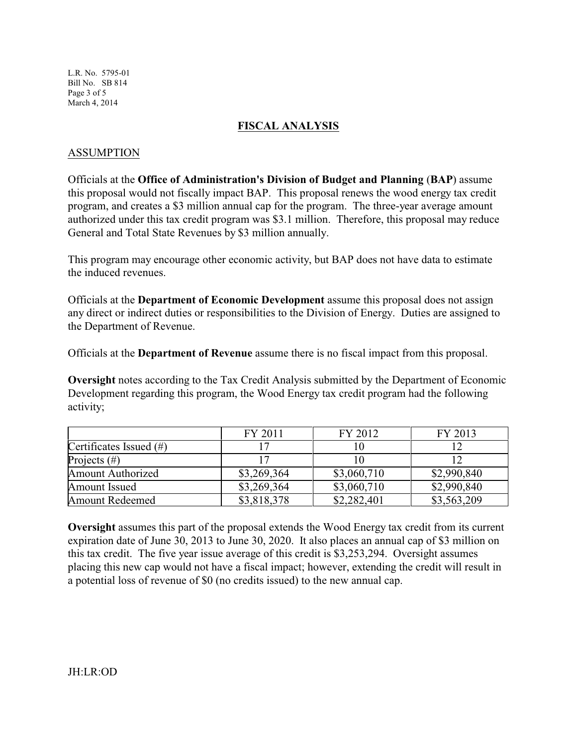L.R. No. 5795-01 Bill No. SB 814 Page 3 of 5 March 4, 2014

### **FISCAL ANALYSIS**

### ASSUMPTION

Officials at the **Office of Administration's Division of Budget and Planning** (**BAP**) assume this proposal would not fiscally impact BAP. This proposal renews the wood energy tax credit program, and creates a \$3 million annual cap for the program. The three-year average amount authorized under this tax credit program was \$3.1 million. Therefore, this proposal may reduce General and Total State Revenues by \$3 million annually.

This program may encourage other economic activity, but BAP does not have data to estimate the induced revenues.

Officials at the **Department of Economic Development** assume this proposal does not assign any direct or indirect duties or responsibilities to the Division of Energy. Duties are assigned to the Department of Revenue.

Officials at the **Department of Revenue** assume there is no fiscal impact from this proposal.

**Oversight** notes according to the Tax Credit Analysis submitted by the Department of Economic Development regarding this program, the Wood Energy tax credit program had the following activity;

|                            | FY 2011     | FY 2012     | FY 2013     |
|----------------------------|-------------|-------------|-------------|
| Certificates Issued $(\#)$ |             |             |             |
| Projects $(\#)$            |             |             |             |
| <b>Amount Authorized</b>   | \$3,269,364 | \$3,060,710 | \$2,990,840 |
| Amount Issued              | \$3,269,364 | \$3,060,710 | \$2,990,840 |
| <b>Amount Redeemed</b>     | \$3,818,378 | \$2,282,401 | \$3,563,209 |

**Oversight** assumes this part of the proposal extends the Wood Energy tax credit from its current expiration date of June 30, 2013 to June 30, 2020. It also places an annual cap of \$3 million on this tax credit. The five year issue average of this credit is \$3,253,294. Oversight assumes placing this new cap would not have a fiscal impact; however, extending the credit will result in a potential loss of revenue of \$0 (no credits issued) to the new annual cap.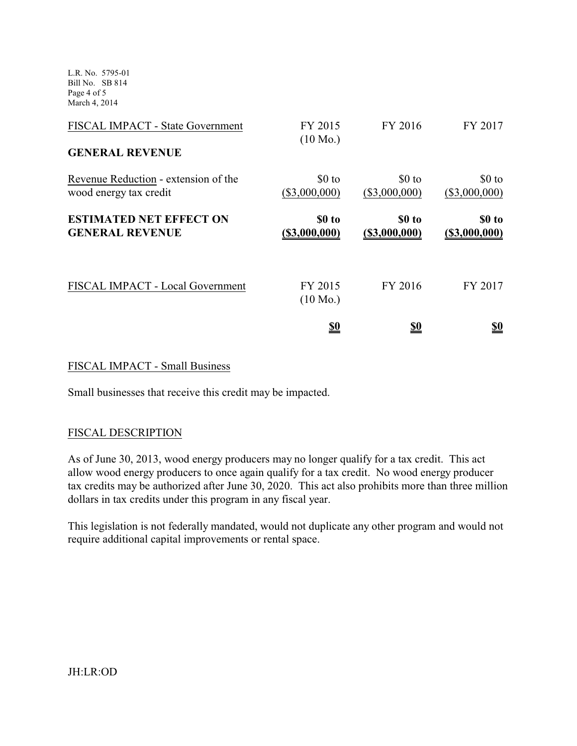L.R. No. 5795-01 Bill No. SB 814 Page 4 of 5 March 4, 2014

| FISCAL IMPACT - State Government<br><b>GENERAL REVENUE</b>     | FY 2015<br>$(10 \text{ Mo.})$ | FY 2016                   | FY 2017                    |
|----------------------------------------------------------------|-------------------------------|---------------------------|----------------------------|
| Revenue Reduction - extension of the<br>wood energy tax credit | $$0$ to<br>$(\$3,000,000)$    | \$0 to<br>$(\$3,000,000)$ | $$0$ to<br>$(\$3,000,000)$ |
| <b>ESTIMATED NET EFFECT ON</b><br><b>GENERAL REVENUE</b>       | \$0 to<br>(\$3,000,000)       | \$0 to<br>(S3,000,000)    | \$0 to<br>(S3,000,000)     |
| FISCAL IMPACT - Local Government                               | FY 2015<br>$(10 \text{ Mo.})$ | FY 2016                   | FY 2017                    |
|                                                                | <u>so</u>                     | <u>\$0</u>                | <u>\$0</u>                 |

### FISCAL IMPACT - Small Business

Small businesses that receive this credit may be impacted.

### FISCAL DESCRIPTION

As of June 30, 2013, wood energy producers may no longer qualify for a tax credit. This act allow wood energy producers to once again qualify for a tax credit. No wood energy producer tax credits may be authorized after June 30, 2020. This act also prohibits more than three million dollars in tax credits under this program in any fiscal year.

This legislation is not federally mandated, would not duplicate any other program and would not require additional capital improvements or rental space.